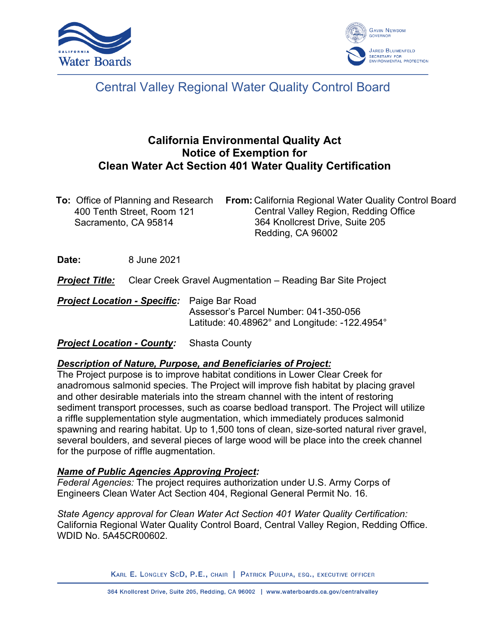



# Central Valley Regional Water Quality Control Board

# **California Environmental Quality Act Notice of Exemption for Clean Water Act Section 401 Water Quality Certification**

| <b>To:</b> Office of Planning and Research | <b>From:</b> California Regional Water Quality Control Board |
|--------------------------------------------|--------------------------------------------------------------|
| 400 Tenth Street, Room 121                 | Central Valley Region, Redding Office                        |
| Sacramento, CA 95814                       | 364 Knollcrest Drive, Suite 205                              |
|                                            | Redding, CA 96002                                            |

**Date:** 8 June 2021

*Project Title:* Clear Creek Gravel Augmentation – Reading Bar Site Project

*Project Location - Specific:* Paige Bar Road Assessor's Parcel Number: 041-350-056 Latitude: 40.48962° and Longitude: -122.4954°

*Project Location - County:* Shasta County

## *Description of Nature, Purpose, and Beneficiaries of Project:*

The Project purpose is to improve habitat conditions in Lower Clear Creek for anadromous salmonid species. The Project will improve fish habitat by placing gravel and other desirable materials into the stream channel with the intent of restoring sediment transport processes, such as coarse bedload transport. The Project will utilize a riffle supplementation style augmentation, which immediately produces salmonid spawning and rearing habitat. Up to 1,500 tons of clean, size-sorted natural river gravel, several boulders, and several pieces of large wood will be place into the creek channel for the purpose of riffle augmentation.

## *Name of Public Agencies Approving Project:*

*Federal Agencies:* The project requires authorization under U.S. Army Corps of Engineers Clean Water Act Section 404, Regional General Permit No. 16.

*State Agency approval for Clean Water Act Section 401 Water Quality Certification:* California Regional Water Quality Control Board, Central Valley Region, Redding Office. WDID No. 5A45CR00602.